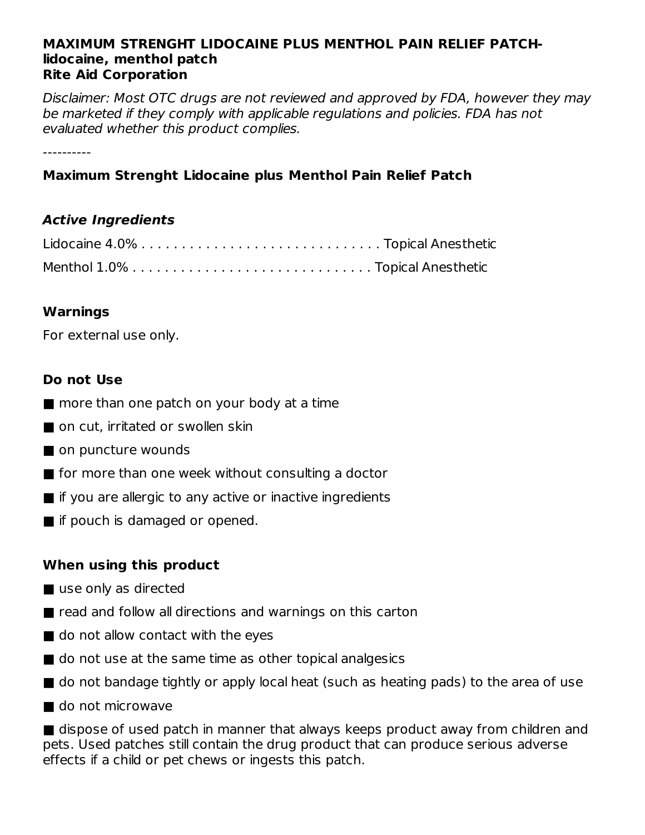#### **MAXIMUM STRENGHT LIDOCAINE PLUS MENTHOL PAIN RELIEF PATCHlidocaine, menthol patch Rite Aid Corporation**

Disclaimer: Most OTC drugs are not reviewed and approved by FDA, however they may be marketed if they comply with applicable regulations and policies. FDA has not evaluated whether this product complies.

----------

## **Maximum Strenght Lidocaine plus Menthol Pain Relief Patch**

#### **Active Ingredients**

#### **Warnings**

For external use only.

#### **Do not Use**

- more than one patch on your body at a time
- on cut, irritated or swollen skin
- on puncture wounds
- for more than one week without consulting a doctor
- $\blacksquare$  if you are allergic to any active or inactive ingredients
- if pouch is damaged or opened.

## **When using this product**

- use only as directed
- $\blacksquare$  read and follow all directions and warnings on this carton
- do not allow contact with the eyes
- do not use at the same time as other topical analgesics
- do not bandage tightly or apply local heat (such as heating pads) to the area of use
- do not microwave

■ dispose of used patch in manner that always keeps product away from children and pets. Used patches still contain the drug product that can produce serious adverse effects if a child or pet chews or ingests this patch.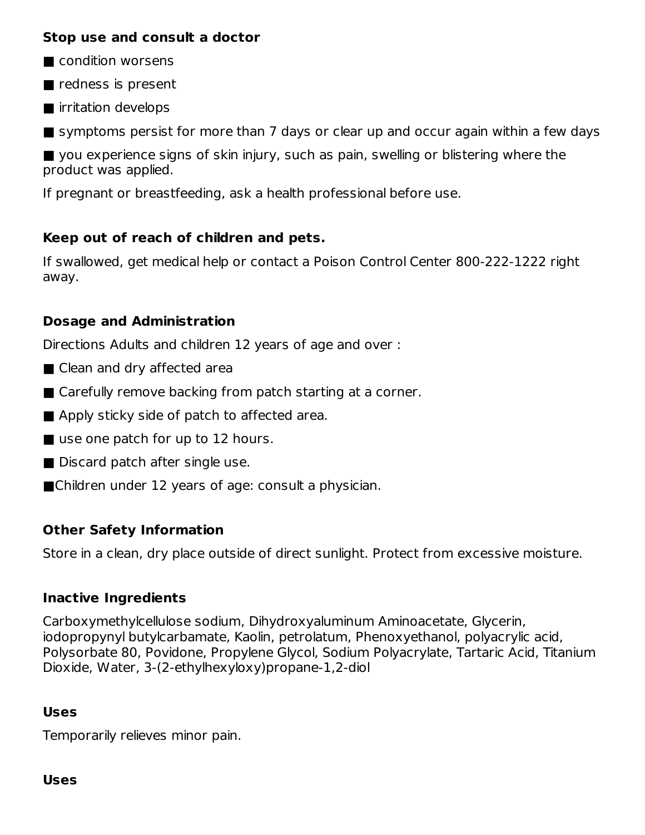#### **Stop use and consult a doctor**

- condition worsens
- redness is present
- irritation develops

■ symptoms persist for more than 7 days or clear up and occur again within a few days

■ you experience signs of skin injury, such as pain, swelling or blistering where the product was applied.

If pregnant or breastfeeding, ask a health professional before use.

## **Keep out of reach of children and pets.**

If swallowed, get medical help or contact a Poison Control Center 800-222-1222 right away.

## **Dosage and Administration**

Directions Adults and children 12 years of age and over :

- Clean and dry affected area
- Carefully remove backing from patch starting at a corner.
- Apply sticky side of patch to affected area.
- use one patch for up to 12 hours.
- Discard patch after single use.
- ■Children under 12 years of age: consult a physician.

## **Other Safety Information**

Store in a clean, dry place outside of direct sunlight. Protect from excessive moisture.

## **Inactive Ingredients**

Carboxymethylcellulose sodium, Dihydroxyaluminum Aminoacetate, Glycerin, iodopropynyl butylcarbamate, Kaolin, petrolatum, Phenoxyethanol, polyacrylic acid, Polysorbate 80, Povidone, Propylene Glycol, Sodium Polyacrylate, Tartaric Acid, Titanium Dioxide, Water, 3-(2-ethylhexyloxy)propane-1,2-diol

## **Uses**

Temporarily relieves minor pain.

#### **Uses**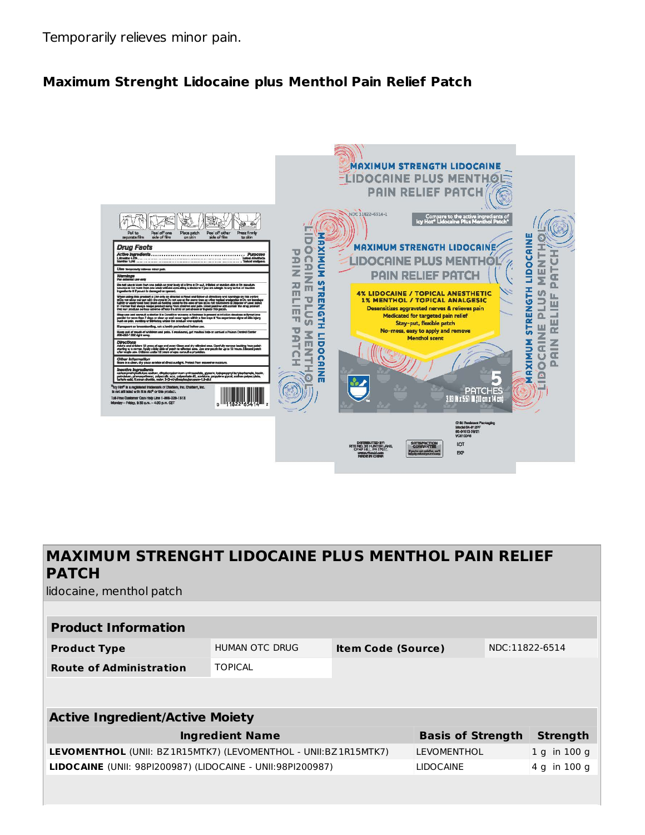Temporarily relieves minor pain.

#### **Maximum Strenght Lidocaine plus Menthol Pain Relief Patch**



# **MAXIMUM STRENGHT LIDOCAINE PLUS MENTHOL PAIN RELIEF PATCH**

lidocaine, menthol patch

| <b>Product Information</b>     |                |                           |                |  |
|--------------------------------|----------------|---------------------------|----------------|--|
| <b>Product Type</b>            | HUMAN OTC DRUG | <b>Item Code (Source)</b> | NDC:11822-6514 |  |
| <b>Route of Administration</b> | <b>TOPICAL</b> |                           |                |  |

| <b>Active Ingredient/Active Moiety</b>                            |                          |                |  |  |  |
|-------------------------------------------------------------------|--------------------------|----------------|--|--|--|
| <b>Ingredient Name</b>                                            | <b>Basis of Strength</b> | Strength       |  |  |  |
| LEVOMENTHOL (UNII: BZ1R15MTK7) (LEVOMENTHOL - UNII: BZ1R15MTK7)   | <b>LEVOMENTHOL</b>       | $1$ q in 100 q |  |  |  |
| <b>LIDOCAINE</b> (UNII: 98PI200987) (LIDOCAINE - UNII:98PI200987) | <b>LIDOCAINE</b>         | $4$ g in 100 g |  |  |  |